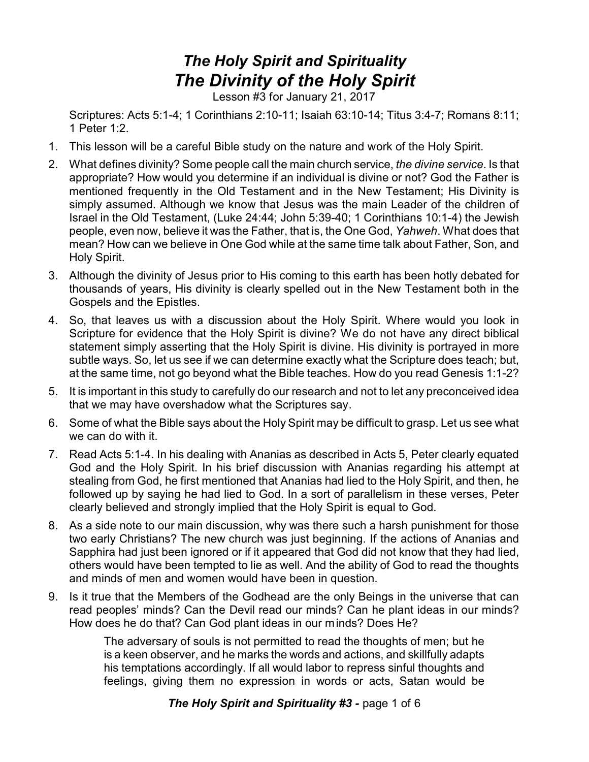## *The Holy Spirit and Spirituality The Divinity of the Holy Spirit*

Lesson #3 for January 21, 2017

Scriptures: Acts 5:1-4; 1 Corinthians 2:10-11; Isaiah 63:10-14; Titus 3:4-7; Romans 8:11; 1 Peter 1:2.

- 1. This lesson will be a careful Bible study on the nature and work of the Holy Spirit.
- 2. What defines divinity? Some people call the main church service, *the divine service*. Is that appropriate? How would you determine if an individual is divine or not? God the Father is mentioned frequently in the Old Testament and in the New Testament; His Divinity is simply assumed. Although we know that Jesus was the main Leader of the children of Israel in the Old Testament, (Luke 24:44; John 5:39-40; 1 Corinthians 10:1-4) the Jewish people, even now, believe it was the Father, that is, the One God, *Yahweh*. What does that mean? How can we believe in One God while at the same time talk about Father, Son, and Holy Spirit.
- 3. Although the divinity of Jesus prior to His coming to this earth has been hotly debated for thousands of years, His divinity is clearly spelled out in the New Testament both in the Gospels and the Epistles.
- 4. So, that leaves us with a discussion about the Holy Spirit. Where would you look in Scripture for evidence that the Holy Spirit is divine? We do not have any direct biblical statement simply asserting that the Holy Spirit is divine. His divinity is portrayed in more subtle ways. So, let us see if we can determine exactly what the Scripture does teach; but, at the same time, not go beyond what the Bible teaches. How do you read Genesis 1:1-2?
- 5. It is important in this study to carefully do our research and not to let any preconceived idea that we may have overshadow what the Scriptures say.
- 6. Some of what the Bible says about the Holy Spirit may be difficult to grasp. Let us see what we can do with it.
- 7. Read Acts 5:1-4. In his dealing with Ananias as described in Acts 5, Peter clearly equated God and the Holy Spirit. In his brief discussion with Ananias regarding his attempt at stealing from God, he first mentioned that Ananias had lied to the Holy Spirit, and then, he followed up by saying he had lied to God. In a sort of parallelism in these verses, Peter clearly believed and strongly implied that the Holy Spirit is equal to God.
- 8. As a side note to our main discussion, why was there such a harsh punishment for those two early Christians? The new church was just beginning. If the actions of Ananias and Sapphira had just been ignored or if it appeared that God did not know that they had lied, others would have been tempted to lie as well. And the ability of God to read the thoughts and minds of men and women would have been in question.
- 9. Is it true that the Members of the Godhead are the only Beings in the universe that can read peoples' minds? Can the Devil read our minds? Can he plant ideas in our minds? How does he do that? Can God plant ideas in our minds? Does He?

The adversary of souls is not permitted to read the thoughts of men; but he is a keen observer, and he marks the words and actions, and skillfully adapts his temptations accordingly. If all would labor to repress sinful thoughts and feelings, giving them no expression in words or acts, Satan would be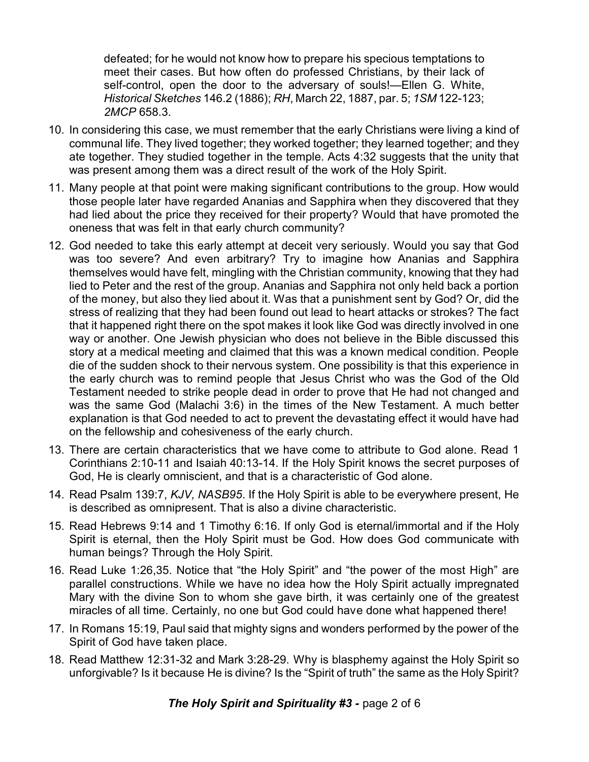defeated; for he would not know how to prepare his specious temptations to meet their cases. But how often do professed Christians, by their lack of self-control, open the door to the adversary of souls!—Ellen G. White, *Historical Sketches* 146.2 (1886); *RH*, March 22, 1887, par. 5; *1SM* 122-123; *2MCP* 658.3.

- 10. In considering this case, we must remember that the early Christians were living a kind of communal life. They lived together; they worked together; they learned together; and they ate together. They studied together in the temple. Acts 4:32 suggests that the unity that was present among them was a direct result of the work of the Holy Spirit.
- 11. Many people at that point were making significant contributions to the group. How would those people later have regarded Ananias and Sapphira when they discovered that they had lied about the price they received for their property? Would that have promoted the oneness that was felt in that early church community?
- 12. God needed to take this early attempt at deceit very seriously. Would you say that God was too severe? And even arbitrary? Try to imagine how Ananias and Sapphira themselves would have felt, mingling with the Christian community, knowing that they had lied to Peter and the rest of the group. Ananias and Sapphira not only held back a portion of the money, but also they lied about it. Was that a punishment sent by God? Or, did the stress of realizing that they had been found out lead to heart attacks or strokes? The fact that it happened right there on the spot makes it look like God was directly involved in one way or another. One Jewish physician who does not believe in the Bible discussed this story at a medical meeting and claimed that this was a known medical condition. People die of the sudden shock to their nervous system. One possibility is that this experience in the early church was to remind people that Jesus Christ who was the God of the Old Testament needed to strike people dead in order to prove that He had not changed and was the same God (Malachi 3:6) in the times of the New Testament. A much better explanation is that God needed to act to prevent the devastating effect it would have had on the fellowship and cohesiveness of the early church.
- 13. There are certain characteristics that we have come to attribute to God alone. Read 1 Corinthians 2:10-11 and Isaiah 40:13-14. If the Holy Spirit knows the secret purposes of God, He is clearly omniscient, and that is a characteristic of God alone.
- 14. Read Psalm 139:7, *KJV, NASB95*. If the Holy Spirit is able to be everywhere present, He is described as omnipresent. That is also a divine characteristic.
- 15. Read Hebrews 9:14 and 1 Timothy 6:16. If only God is eternal/immortal and if the Holy Spirit is eternal, then the Holy Spirit must be God. How does God communicate with human beings? Through the Holy Spirit.
- 16. Read Luke 1:26,35. Notice that "the Holy Spirit" and "the power of the most High" are parallel constructions. While we have no idea how the Holy Spirit actually impregnated Mary with the divine Son to whom she gave birth, it was certainly one of the greatest miracles of all time. Certainly, no one but God could have done what happened there!
- 17. In Romans 15:19, Paul said that mighty signs and wonders performed by the power of the Spirit of God have taken place.
- 18. Read Matthew 12:31-32 and Mark 3:28-29. Why is blasphemy against the Holy Spirit so unforgivable? Is it because He is divine? Is the "Spirit of truth" the same as the Holy Spirit?

*The Holy Spirit and Spirituality #3 -* page 2 of 6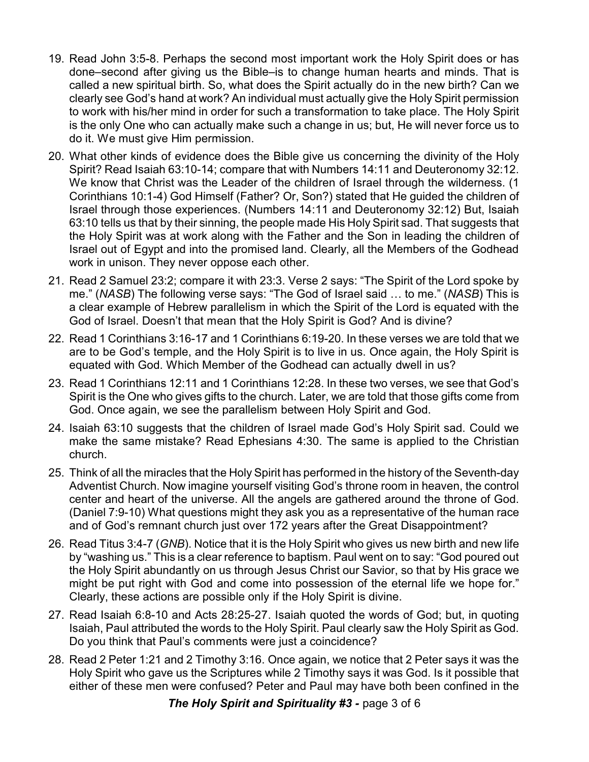- 19. Read John 3:5-8. Perhaps the second most important work the Holy Spirit does or has done–second after giving us the Bible–is to change human hearts and minds. That is called a new spiritual birth. So, what does the Spirit actually do in the new birth? Can we clearly see God's hand at work? An individual must actually give the Holy Spirit permission to work with his/her mind in order for such a transformation to take place. The Holy Spirit is the only One who can actually make such a change in us; but, He will never force us to do it. We must give Him permission.
- 20. What other kinds of evidence does the Bible give us concerning the divinity of the Holy Spirit? Read Isaiah 63:10-14; compare that with Numbers 14:11 and Deuteronomy 32:12. We know that Christ was the Leader of the children of Israel through the wilderness. (1 Corinthians 10:1-4) God Himself (Father? Or, Son?) stated that He guided the children of Israel through those experiences. (Numbers 14:11 and Deuteronomy 32:12) But, Isaiah 63:10 tells us that by their sinning, the people made His Holy Spirit sad. That suggests that the Holy Spirit was at work along with the Father and the Son in leading the children of Israel out of Egypt and into the promised land. Clearly, all the Members of the Godhead work in unison. They never oppose each other.
- 21. Read 2 Samuel 23:2; compare it with 23:3. Verse 2 says: "The Spirit of the Lord spoke by me." (*NASB*) The following verse says: "The God of Israel said … to me." (*NASB*) This is a clear example of Hebrew parallelism in which the Spirit of the Lord is equated with the God of Israel. Doesn't that mean that the Holy Spirit is God? And is divine?
- 22. Read 1 Corinthians 3:16-17 and 1 Corinthians 6:19-20. In these verses we are told that we are to be God's temple, and the Holy Spirit is to live in us. Once again, the Holy Spirit is equated with God. Which Member of the Godhead can actually dwell in us?
- 23. Read 1 Corinthians 12:11 and 1 Corinthians 12:28. In these two verses, we see that God's Spirit is the One who gives gifts to the church. Later, we are told that those gifts come from God. Once again, we see the parallelism between Holy Spirit and God.
- 24. Isaiah 63:10 suggests that the children of Israel made God's Holy Spirit sad. Could we make the same mistake? Read Ephesians 4:30. The same is applied to the Christian church.
- 25. Think of all the miracles that the Holy Spirit has performed in the history of the Seventh-day Adventist Church. Now imagine yourself visiting God's throne room in heaven, the control center and heart of the universe. All the angels are gathered around the throne of God. (Daniel 7:9-10) What questions might they ask you as a representative of the human race and of God's remnant church just over 172 years after the Great Disappointment?
- 26. Read Titus 3:4-7 (*GNB*). Notice that it is the Holy Spirit who gives us new birth and new life by "washing us." This is a clear reference to baptism. Paul went on to say: "God poured out the Holy Spirit abundantly on us through Jesus Christ our Savior, so that by His grace we might be put right with God and come into possession of the eternal life we hope for." Clearly, these actions are possible only if the Holy Spirit is divine.
- 27. Read Isaiah 6:8-10 and Acts 28:25-27. Isaiah quoted the words of God; but, in quoting Isaiah, Paul attributed the words to the Holy Spirit. Paul clearly saw the Holy Spirit as God. Do you think that Paul's comments were just a coincidence?
- 28. Read 2 Peter 1:21 and 2 Timothy 3:16. Once again, we notice that 2 Peter says it was the Holy Spirit who gave us the Scriptures while 2 Timothy says it was God. Is it possible that either of these men were confused? Peter and Paul may have both been confined in the

*The Holy Spirit and Spirituality #3 -* page 3 of 6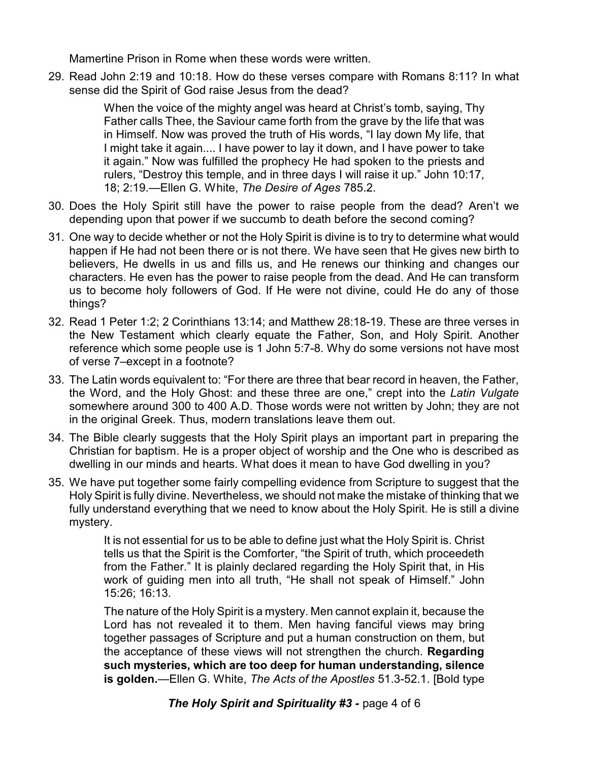Mamertine Prison in Rome when these words were written.

29. Read John 2:19 and 10:18. How do these verses compare with Romans 8:11? In what sense did the Spirit of God raise Jesus from the dead?

> When the voice of the mighty angel was heard at Christ's tomb, saying, Thy Father calls Thee, the Saviour came forth from the grave by the life that was in Himself. Now was proved the truth of His words, "I lay down My life, that I might take it again.... I have power to lay it down, and I have power to take it again." Now was fulfilled the prophecy He had spoken to the priests and rulers, "Destroy this temple, and in three days I will raise it up." John 10:17, 18; 2:19.—Ellen G. White, *The Desire of Ages* 785.2.

- 30. Does the Holy Spirit still have the power to raise people from the dead? Aren't we depending upon that power if we succumb to death before the second coming?
- 31. One way to decide whether or not the Holy Spirit is divine is to try to determine what would happen if He had not been there or is not there. We have seen that He gives new birth to believers, He dwells in us and fills us, and He renews our thinking and changes our characters. He even has the power to raise people from the dead. And He can transform us to become holy followers of God. If He were not divine, could He do any of those things?
- 32. Read 1 Peter 1:2; 2 Corinthians 13:14; and Matthew 28:18-19. These are three verses in the New Testament which clearly equate the Father, Son, and Holy Spirit. Another reference which some people use is 1 John 5:7-8. Why do some versions not have most of verse 7–except in a footnote?
- 33. The Latin words equivalent to: "For there are three that bear record in heaven, the Father, the Word, and the Holy Ghost: and these three are one," crept into the *Latin Vulgate* somewhere around 300 to 400 A.D. Those words were not written by John; they are not in the original Greek. Thus, modern translations leave them out.
- 34. The Bible clearly suggests that the Holy Spirit plays an important part in preparing the Christian for baptism. He is a proper object of worship and the One who is described as dwelling in our minds and hearts. What does it mean to have God dwelling in you?
- 35. We have put together some fairly compelling evidence from Scripture to suggest that the Holy Spirit is fully divine. Nevertheless, we should not make the mistake of thinking that we fully understand everything that we need to know about the Holy Spirit. He is still a divine mystery.

It is not essential for us to be able to define just what the Holy Spirit is. Christ tells us that the Spirit is the Comforter, "the Spirit of truth, which proceedeth from the Father." It is plainly declared regarding the Holy Spirit that, in His work of guiding men into all truth, "He shall not speak of Himself." John 15:26; 16:13.

The nature of the Holy Spirit is a mystery. Men cannot explain it, because the Lord has not revealed it to them. Men having fanciful views may bring together passages of Scripture and put a human construction on them, but the acceptance of these views will not strengthen the church. **Regarding such mysteries, which are too deep for human understanding, silence is golden.**—Ellen G. White, *The Acts of the Apostles* 51.3-52.1. [Bold type

*The Holy Spirit and Spirituality #3 -* page 4 of 6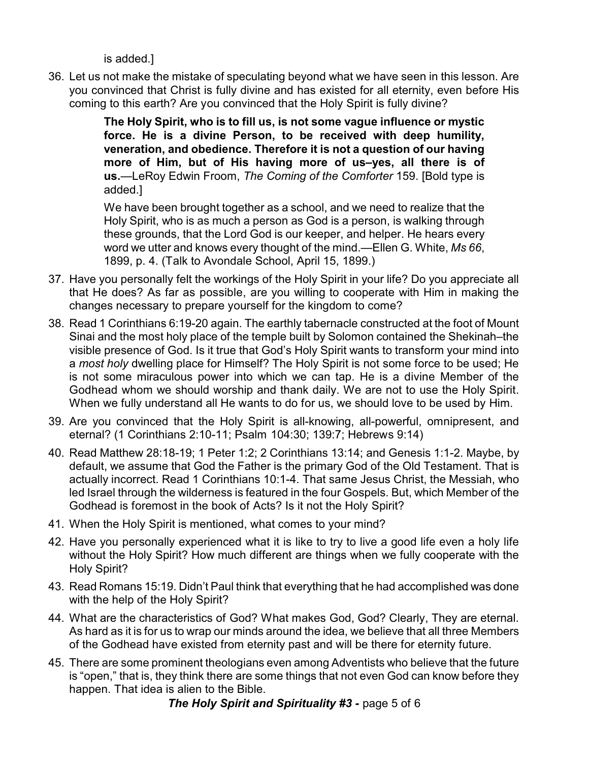is added.]

36. Let us not make the mistake of speculating beyond what we have seen in this lesson. Are you convinced that Christ is fully divine and has existed for all eternity, even before His coming to this earth? Are you convinced that the Holy Spirit is fully divine?

> **The Holy Spirit, who is to fill us, is not some vague influence or mystic force. He is a divine Person, to be received with deep humility, veneration, and obedience. Therefore it is not a question of our having more of Him, but of His having more of us–yes, all there is of us.**—LeRoy Edwin Froom, *The Coming of the Comforter* 159. [Bold type is added.]

> We have been brought together as a school, and we need to realize that the Holy Spirit, who is as much a person as God is a person, is walking through these grounds, that the Lord God is our keeper, and helper. He hears every word we utter and knows every thought of the mind.—Ellen G. White, *Ms 66*, 1899, p. 4. (Talk to Avondale School, April 15, 1899.)

- 37. Have you personally felt the workings of the Holy Spirit in your life? Do you appreciate all that He does? As far as possible, are you willing to cooperate with Him in making the changes necessary to prepare yourself for the kingdom to come?
- 38. Read 1 Corinthians 6:19-20 again. The earthly tabernacle constructed at the foot of Mount Sinai and the most holy place of the temple built by Solomon contained the Shekinah–the visible presence of God. Is it true that God's Holy Spirit wants to transform your mind into a *most holy* dwelling place for Himself? The Holy Spirit is not some force to be used; He is not some miraculous power into which we can tap. He is a divine Member of the Godhead whom we should worship and thank daily. We are not to use the Holy Spirit. When we fully understand all He wants to do for us, we should love to be used by Him.
- 39. Are you convinced that the Holy Spirit is all-knowing, all-powerful, omnipresent, and eternal? (1 Corinthians 2:10-11; Psalm 104:30; 139:7; Hebrews 9:14)
- 40. Read Matthew 28:18-19; 1 Peter 1:2; 2 Corinthians 13:14; and Genesis 1:1-2. Maybe, by default, we assume that God the Father is the primary God of the Old Testament. That is actually incorrect. Read 1 Corinthians 10:1-4. That same Jesus Christ, the Messiah, who led Israel through the wilderness is featured in the four Gospels. But, which Member of the Godhead is foremost in the book of Acts? Is it not the Holy Spirit?
- 41. When the Holy Spirit is mentioned, what comes to your mind?
- 42. Have you personally experienced what it is like to try to live a good life even a holy life without the Holy Spirit? How much different are things when we fully cooperate with the Holy Spirit?
- 43. Read Romans 15:19. Didn't Paul think that everything that he had accomplished was done with the help of the Holy Spirit?
- 44. What are the characteristics of God? What makes God, God? Clearly, They are eternal. As hard as it is for us to wrap our minds around the idea, we believe that all three Members of the Godhead have existed from eternity past and will be there for eternity future.
- 45. There are some prominent theologians even among Adventists who believe that the future is "open," that is, they think there are some things that not even God can know before they happen. That idea is alien to the Bible.